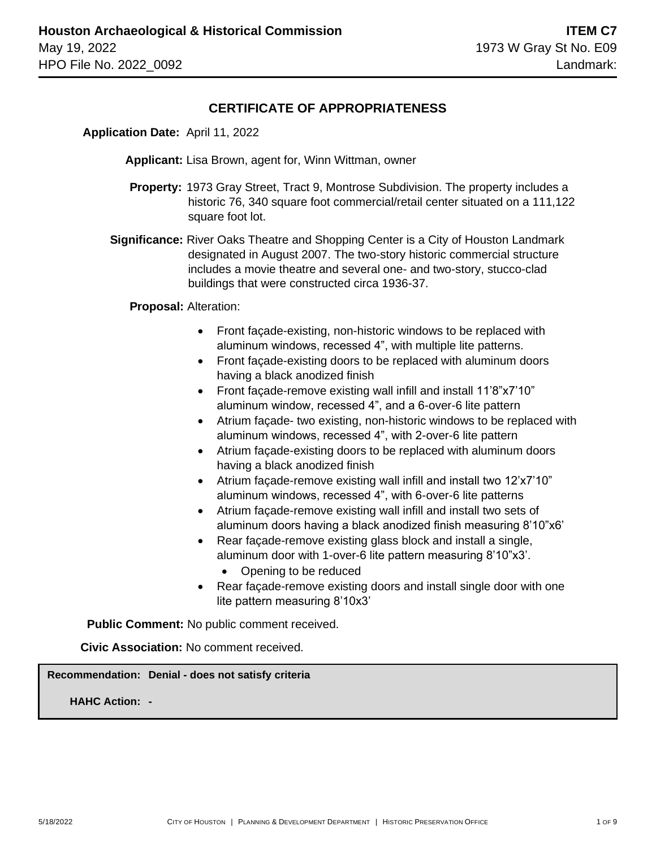### **CERTIFICATE OF APPROPRIATENESS**

 **Application Date:** April 11, 2022

**Applicant:** Lisa Brown, agent for, Winn Wittman, owner

- **Property:** 1973 Gray Street, Tract 9, Montrose Subdivision. The property includes a historic 76, 340 square foot commercial/retail center situated on a 111,122 square foot lot.
- **Significance:** River Oaks Theatre and Shopping Center is a City of Houston Landmark designated in August 2007. The two-story historic commercial structure includes a movie theatre and several one- and two-story, stucco-clad buildings that were constructed circa 1936-37.

 **Proposal:** Alteration:

- Front façade-existing, non-historic windows to be replaced with aluminum windows, recessed 4", with multiple lite patterns.
- Front façade-existing doors to be replaced with aluminum doors having a black anodized finish
- Front façade-remove existing wall infill and install 11'8"x7'10" aluminum window, recessed 4", and a 6-over-6 lite pattern
- Atrium façade- two existing, non-historic windows to be replaced with aluminum windows, recessed 4", with 2-over-6 lite pattern
- Atrium façade-existing doors to be replaced with aluminum doors having a black anodized finish
- Atrium façade-remove existing wall infill and install two 12'x7'10" aluminum windows, recessed 4", with 6-over-6 lite patterns
- Atrium façade-remove existing wall infill and install two sets of aluminum doors having a black anodized finish measuring 8'10"x6'
- Rear façade-remove existing glass block and install a single, aluminum door with 1-over-6 lite pattern measuring 8'10"x3'.
	- Opening to be reduced
- Rear façade-remove existing doors and install single door with one lite pattern measuring 8'10x3'

 **Public Comment:** No public comment received.

**Civic Association:** No comment received.

**Recommendation: Denial - does not satisfy criteria**

**HAHC Action: -**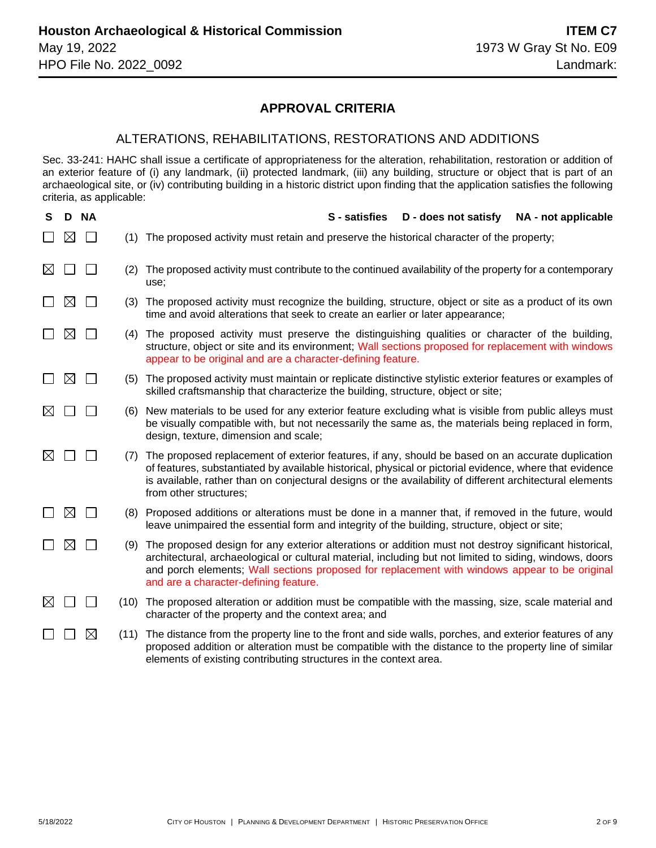### **APPROVAL CRITERIA**

#### ALTERATIONS, REHABILITATIONS, RESTORATIONS AND ADDITIONS

Sec. 33-241: HAHC shall issue a certificate of appropriateness for the alteration, rehabilitation, restoration or addition of an exterior feature of (i) any landmark, (ii) protected landmark, (iii) any building, structure or object that is part of an archaeological site, or (iv) contributing building in a historic district upon finding that the application satisfies the following criteria, as applicable:

| S           | D.          | <b>NA</b>   |      | D - does not satisfy<br>S - satisfies<br>NA - not applicable                                                                                                                                                                                                                                                                                               |
|-------------|-------------|-------------|------|------------------------------------------------------------------------------------------------------------------------------------------------------------------------------------------------------------------------------------------------------------------------------------------------------------------------------------------------------------|
|             | ⋉           |             | (1)  | The proposed activity must retain and preserve the historical character of the property;                                                                                                                                                                                                                                                                   |
| $\boxtimes$ |             |             | (2)  | The proposed activity must contribute to the continued availability of the property for a contemporary<br>use;                                                                                                                                                                                                                                             |
|             | ⊠           |             | (3)  | The proposed activity must recognize the building, structure, object or site as a product of its own<br>time and avoid alterations that seek to create an earlier or later appearance;                                                                                                                                                                     |
|             | $\boxtimes$ |             | (4)  | The proposed activity must preserve the distinguishing qualities or character of the building,<br>structure, object or site and its environment; Wall sections proposed for replacement with windows<br>appear to be original and are a character-defining feature.                                                                                        |
|             | $\boxtimes$ |             |      | (5) The proposed activity must maintain or replicate distinctive stylistic exterior features or examples of<br>skilled craftsmanship that characterize the building, structure, object or site;                                                                                                                                                            |
| IХI         |             |             | (6)  | New materials to be used for any exterior feature excluding what is visible from public alleys must<br>be visually compatible with, but not necessarily the same as, the materials being replaced in form,<br>design, texture, dimension and scale;                                                                                                        |
| IХI         |             |             | (7)  | The proposed replacement of exterior features, if any, should be based on an accurate duplication<br>of features, substantiated by available historical, physical or pictorial evidence, where that evidence<br>is available, rather than on conjectural designs or the availability of different architectural elements<br>from other structures;         |
|             | $\boxtimes$ |             |      | (8) Proposed additions or alterations must be done in a manner that, if removed in the future, would<br>leave unimpaired the essential form and integrity of the building, structure, object or site;                                                                                                                                                      |
|             | $\boxtimes$ |             | (9)  | The proposed design for any exterior alterations or addition must not destroy significant historical,<br>architectural, archaeological or cultural material, including but not limited to siding, windows, doors<br>and porch elements; Wall sections proposed for replacement with windows appear to be original<br>and are a character-defining feature. |
| ⊠           |             |             | (10) | The proposed alteration or addition must be compatible with the massing, size, scale material and<br>character of the property and the context area; and                                                                                                                                                                                                   |
|             |             | $\boxtimes$ | (11) | The distance from the property line to the front and side walls, porches, and exterior features of any<br>proposed addition or alteration must be compatible with the distance to the property line of similar<br>elements of existing contributing structures in the context area.                                                                        |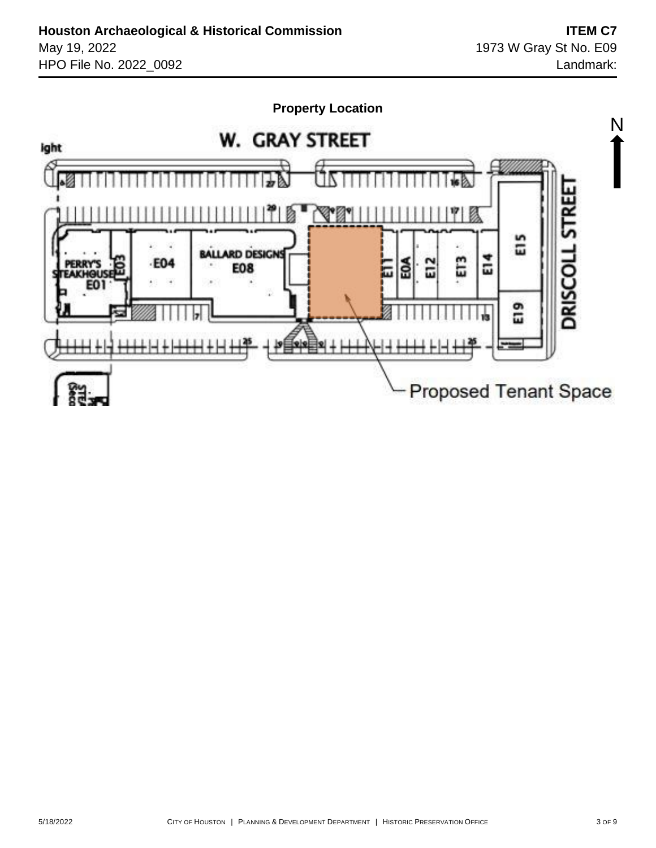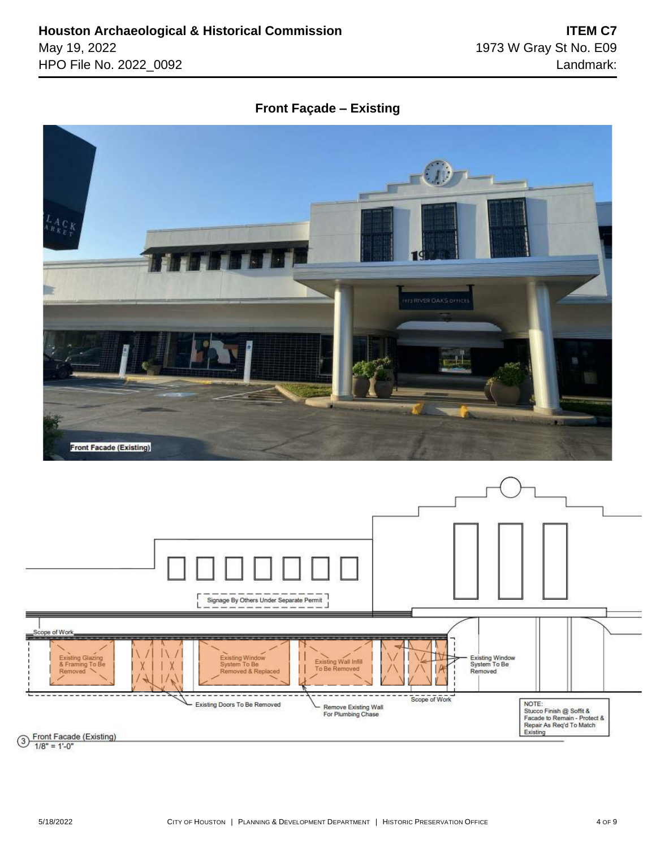### **Front Façade – Existing**



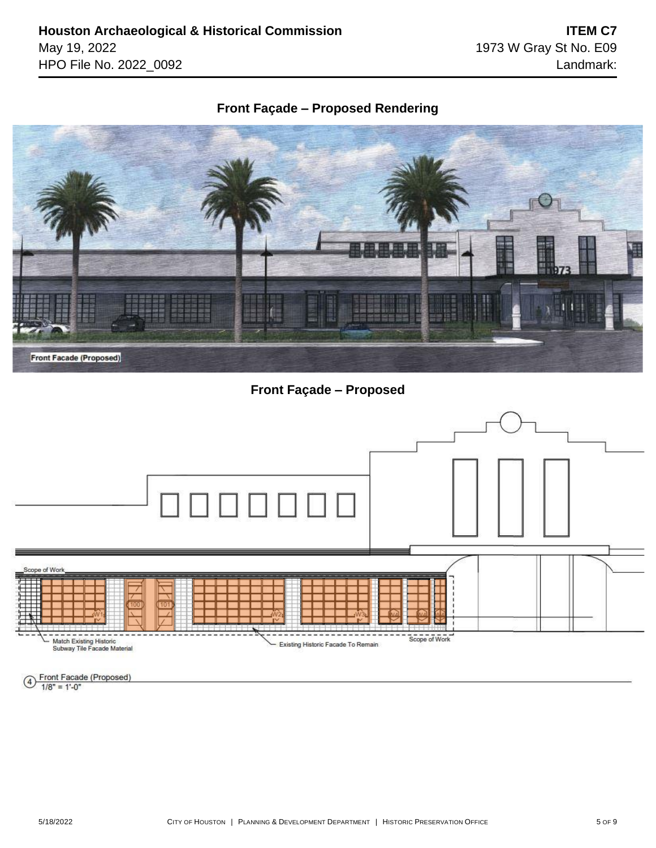# **Front Façade – Proposed Rendering**



**Front Façade – Proposed**



#### $\overline{4}$  Front Facade (Proposed)  $1/8" = 1'-0"$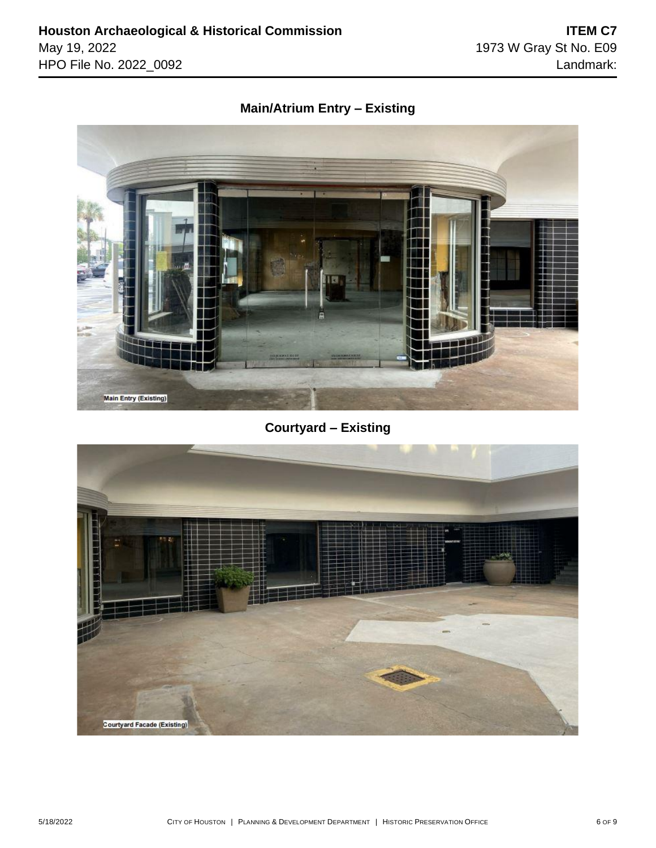## **Main/Atrium Entry – Existing**



# **Courtyard – Existing**

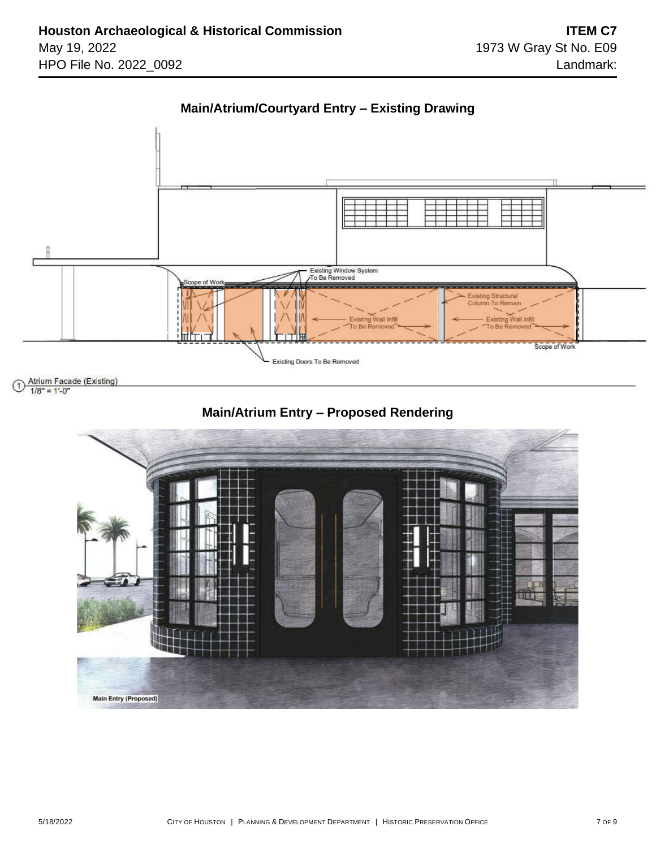



Atrium Facade (Existing) 1

 $1/8" = 1'-0"$ 



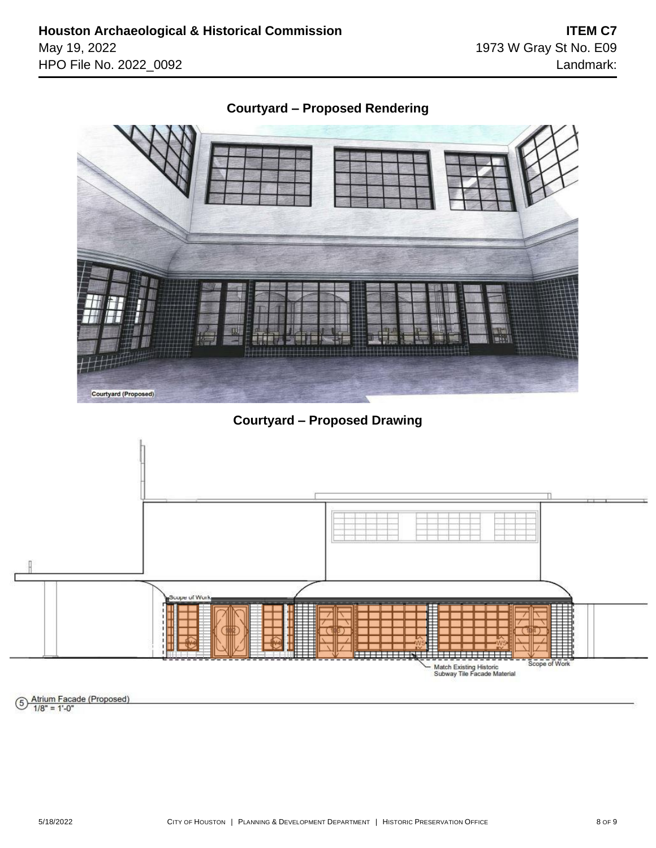

**Courtyard – Proposed Drawing**



Atrium Facade (Proposed)<br>1/8" = 1'-0"  $(5)$